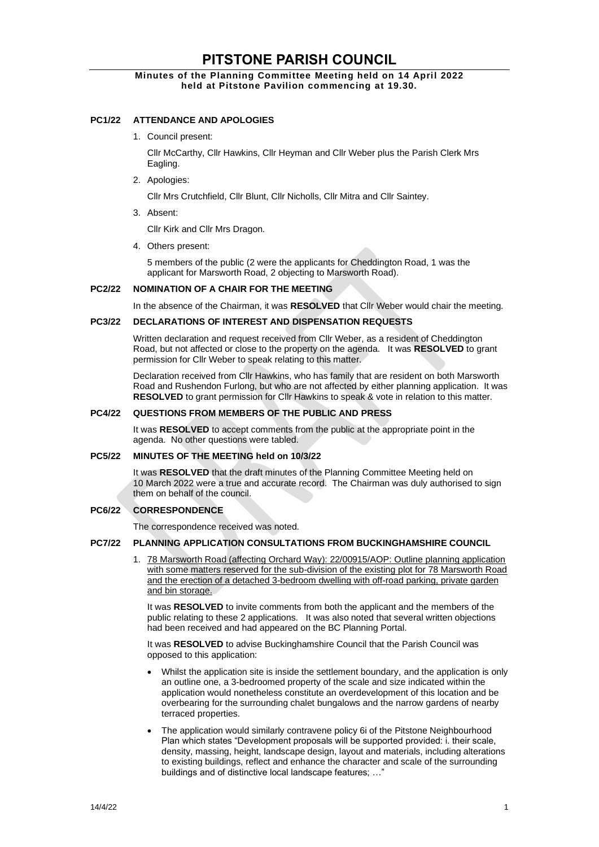# **PITSTONE PARISH COUNCIL**

# **Minutes of the Planning Committee Meeting held on 14 April 2022 held at Pitstone Pavilion commencing at 19.30.**

# **PC1/22 ATTENDANCE AND APOLOGIES**

1. Council present:

Cllr McCarthy, Cllr Hawkins, Cllr Heyman and Cllr Weber plus the Parish Clerk Mrs Eagling.

2. Apologies:

Cllr Mrs Crutchfield, Cllr Blunt, Cllr Nicholls, Cllr Mitra and Cllr Saintey.

3. Absent:

Cllr Kirk and Cllr Mrs Dragon.

4. Others present:

5 members of the public (2 were the applicants for Cheddington Road, 1 was the applicant for Marsworth Road, 2 objecting to Marsworth Road).

## **PC2/22 NOMINATION OF A CHAIR FOR THE MEETING**

In the absence of the Chairman, it was **RESOLVED** that Cllr Weber would chair the meeting.

#### **PC3/22 DECLARATIONS OF INTEREST AND DISPENSATION REQUESTS**

Written declaration and request received from Cllr Weber, as a resident of Cheddington Road, but not affected or close to the property on the agenda. It was **RESOLVED** to grant permission for Cllr Weber to speak relating to this matter.

Declaration received from Cllr Hawkins, who has family that are resident on both Marsworth Road and Rushendon Furlong, but who are not affected by either planning application. It was **RESOLVED** to grant permission for Cllr Hawkins to speak & vote in relation to this matter.

## **PC4/22 QUESTIONS FROM MEMBERS OF THE PUBLIC AND PRESS**

It was **RESOLVED** to accept comments from the public at the appropriate point in the agenda. No other questions were tabled.

## **PC5/22 MINUTES OF THE MEETING held on 10/3/22**

It was **RESOLVED** that the draft minutes of the Planning Committee Meeting held on 10 March 2022 were a true and accurate record. The Chairman was duly authorised to sign them on behalf of the council.

# **PC6/22 CORRESPONDENCE**

The correspondence received was noted.

#### **PC7/22 PLANNING APPLICATION CONSULTATIONS FROM BUCKINGHAMSHIRE COUNCIL**

1. 78 Marsworth Road (affecting Orchard Way): 22/00915/AOP: Outline planning application with some matters reserved for the sub-division of the existing plot for 78 Marsworth Road and the erection of a detached 3-bedroom dwelling with off-road parking, private garden and bin storage.

It was **RESOLVED** to invite comments from both the applicant and the members of the public relating to these 2 applications. It was also noted that several written objections had been received and had appeared on the BC Planning Portal.

It was **RESOLVED** to advise Buckinghamshire Council that the Parish Council was opposed to this application:

- Whilst the application site is inside the settlement boundary, and the application is only an outline one, a 3-bedroomed property of the scale and size indicated within the application would nonetheless constitute an overdevelopment of this location and be overbearing for the surrounding chalet bungalows and the narrow gardens of nearby terraced properties.
- The application would similarly contravene policy 6i of the Pitstone Neighbourhood Plan which states "Development proposals will be supported provided: i. their scale, density, massing, height, landscape design, layout and materials, including alterations to existing buildings, reflect and enhance the character and scale of the surrounding buildings and of distinctive local landscape features; ...'